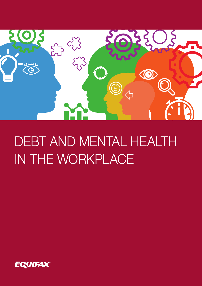

# DEBT AND MENTAL HEALTH IN THE WORKPLACE

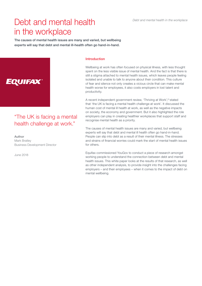*Debt and mental health in the workplace*

# Debt and mental health in the workplace

The causes of mental health issues are many and varied, but wellbeing experts will say that debt and mental ill-health often go hand-in-hand.



### "The UK is facing a mental health challenge at work."

Author Mark Bratley Business Development Director

June 2018

#### Introduction

Wellbeing at work has often focused on physical illness, with less thought spent on the less visible issue of mental health. And the fact is that there is still a stigma attached to mental health issues, which leaves people feeling isolated and unable to talk to anyone about their condition. This culture of fear and silence not only creates a vicious circle that can make mental health worse for employees, it also costs employers in lost talent and productivity.

A recent independent government review, 'Thriving at Work',<sup>(1)</sup> stated that 'the UK is facing a mental health challenge at work'. It discussed the human cost of mental ill health at work, as well as the negative impacts on society, the economy and government. But it also highlighted the role employers can play in creating healthier workplaces that support staff and recognise mental health as a priority.

The causes of mental health issues are many and varied, but wellbeing experts will say that debt and mental ill health often go hand-in-hand. People can slip into debt as a result of their mental illness. The stresses and strains of financial worries could mark the start of mental health issues for others.

Equifax commissioned YouGov to conduct a piece of research amongst working people to understand the connection between debt and mental health issues. This white paper looks at the results of that research, as well as other independent analysis, to provide insight into the challenges facing employers – and their employees – when it comes to the impact of debt on mental wellbeing.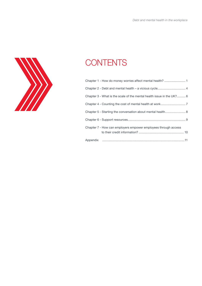

# **CONTENTS**

| Chapter 1 - How do money worries affect mental health? 1              |
|-----------------------------------------------------------------------|
|                                                                       |
| Chapter 3 - What is the scale of the mental health issue in the UK? 6 |
|                                                                       |
| Chapter 5 - Starting the conversation about mental health 8           |
|                                                                       |
| Chapter 7 - How can employers empower employees through access        |
|                                                                       |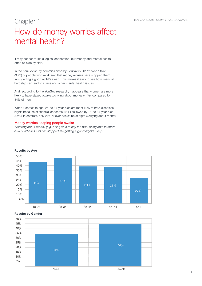# Chapter 1 How do money worries affect mental health?

It may not seem like a logical connection, but money and mental health often sit side by side.

In the YouGov study commissioned by Equifax in 2017,<sup>(2)</sup> over a third (38%) of people who work said that money worries have stopped them from getting a good night's sleep. This makes it easy to see how financial hardship can lead to stress and other mental health issues.

And, according to the YouGov research, it appears that women are more likely to have stayed awake worrying about money (44%), compared to 34% of men.

When it comes to age, 25- to 34-year-olds are most likely to have sleepless nights because of financial concerns (48%), followed by 18- to 34-year-olds (44%). In contrast, only 27% of over 55s sit up at night worrying about money.

#### Money worries keeping people awake

*Worrying about money (e.g. being able to pay the bills, being able to afford new purchases etc) has stopped me getting a good night's sleep.*



#### Results by Age

#### Results by Gender

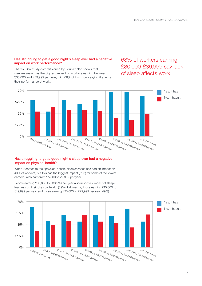#### Has struggling to get a good night's sleep ever had a negative impact on work performance?

The YouGov study commissioned by Equifax also shows that sleeplessness has the biggest impact on workers earning between £30,000 and £39,999 per year, with 68% of this group saying it affects their performance at work.

### 68% of workers earning £30,000-£39,999 say lack of sleep affects work



#### Has struggling to get a good night's sleep ever had a negative impact on physical health?

When it comes to their physical health, sleeplessness has had an impact on 49% of workers, but this has the biggest impact (61%) for some of the lowest earners, who earn from £5,000 to £9,999 per year.



People earning £35,000 to £39,999 per year also report an impact of sleeplessness on their physical health (59%), followed by those earning £15,000 to £19,999 per year and those earning £25,000 to £29,999 per year (49%).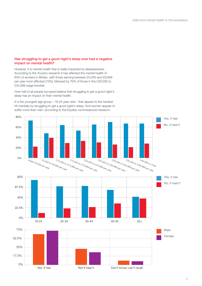#### Has struggling to get a good night's sleep ever had a negative impact on mental health?

However, it is mental health that is really impacted by sleeplessness. According to the YouGov research it has affected the mental health of 64% of workers in Britain, with those earning between £5,000 and £9,999 per year most affected (73%), followed by 70% of those in the £30,000 to £34,999 wage bracket.

Over half of all people surveyed believe that struggling to get a good night's sleep has an impact on their mental health.

It is the youngest age group – 18-24-year-olds - that appear to the hardest hit mentally by struggling to get a good night's sleep. And women appear to suffer more than men, according to the Equifax commissioned research.

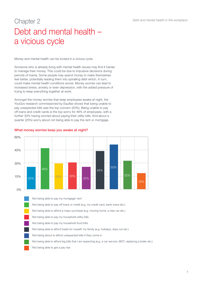### Chapter 2 Debt and mental health – a vicious cycle

Money and mental health can be locked in a vicious cycle.

Someone who is already living with mental health issues may find it harder to manage their money. This could be due to impulsive decisions during periods of mania. Some people may spend money to make themselves feel better, potentially leading them into spiralling debt which, in turn, could make mental health conditions worse. Money worries can lead to increased stress, anxiety or even depression, with the added pressure of trying to keep everything together at work.

Amongst the money worries that keep employees awake at night, the YouGov research commissioned by Equifax shows that being unable to pay unexpected bills was the top concern (50%). Being unable to pay off loans and credit cards is the top worry for 46% of employees, with a further 30% having worried about paying their utility bills. And about a quarter (25%) worry about not being able to pay the rent or mortgage.



What money worries keep you awake at night?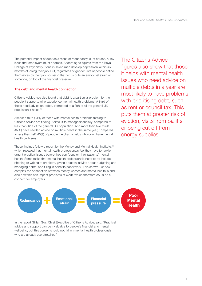The potential impact of debt as a result of redundancy is, of course, a key issue that employers must address. According to figures from the Royal College of Psychiatry,<sup>(3)</sup> one in seven men develop depression within six months of losing their job. But, regardless of gender, lots of people define themselves by their job, so losing that focus puts an emotional strain on someone, on top of the financial pressure.

#### The debt and mental health connection

Citizens Advice has also found that debt is a particular problem for the people it supports who experience mental health problems. A third of those need advice on debts, compared to a fifth of all the general UK population it helps.<sup>(4)</sup>

Almost a third (31%) of those with mental health problems turning to Citizens Advice are finding it difficult to manage financially, compared to less than 12% of the general UK population. And more than two thirds (67%) have needed advice on multiple debts in the same year, compared to less than half (45%) of people the charity helps who don't have mental health problems.

These findings follow a report by the Money and Mental Health Institute,<sup>(5)</sup> which revealed that mental health professionals feel they have to tackle urgent practical issues before they can focus on their patients' mental health. Some tasks that mental health professionals need to do include phoning or writing to creditors, giving practical advice about budgeting and managing debts, and filling in benefits paperwork. This shows just how complex the connection between money worries and mental health is and also how this can impact problems at work, which therefore could be a concern for employers.

The Citizens Advice figures also show that those it helps with mental health issues who need advice on multiple debts in a year are most likely to have problems with prioritising debt, such as rent or council tax. This puts them at greater risk of eviction, visits from bailiffs or being cut off from energy supplies.



In the report Gillian Guy, Chief Executive of Citizens Advice, said, "Practical advice and support can be invaluable to people's financial and mental wellbeing, but this burden should not fall on mental health professionals who are already overstretched."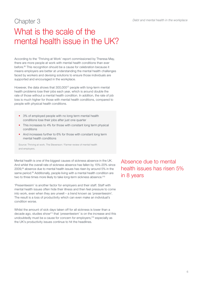*Debt and mental health in the workplace*

### Chapter 3 What is the scale of the mental health issue in the UK?

According to the 'Thriving at Work' report commissioned by Theresa May, there are more people at work with mental health conditions than ever before.(6) This recognition should be a cause for celebration because it means employers are better at understanding the mental health challenges faced by workers and devising solutions to ensure those individuals are supported and encouraged in the workplace.

However, the data shows that  $300,000^{(7)}$  people with long-term mental health problems lose their jobs each year, which is around double the rate of those without a mental health condition. In addition, the rate of job loss is much higher for those with mental health conditions, compared to people with physical health conditions.

- 3% of employed people with no long term mental health conditions lose their jobs after just one quarter
- This increases to 4% for those with constant long term physical conditions
- And increases further to 6% for those with constant long term mental health conditions

Source: Thriving at work. The Stevenson / Farmer review of mental health and employers.

Mental health is one of the biggest causes of sickness absence in the UK. And whilst the overall rate of sickness absence has fallen by 15%-20% since 2009,<sup>(8)</sup> absence due to mental health issues has risen by around 5% in the same period.<sup>(9)</sup> Additionally, people living with a mental health condition are two to three times more likely to take long-term sickness absence.<sup>(10)</sup>

'Presenteesim' is another factor for employers and their staff. Staff with mental health issues often hide their illness and then feel pressure to come into work, even when they are unwell – a trend known as 'presenteesim'. The result is a loss of productivity which can even make an individual's condition worse.

Whilst the amount of sick days taken off for all sickness is lower than a decade ago, studies show(11) that 'presenteeism' is on the increase and this undoubtedly must be a cause for concern for employers,<sup>(12)</sup> especially as the UK's productivity issues continue to hit the headlines.

Absence due to mental health issues has risen 5% in 8 years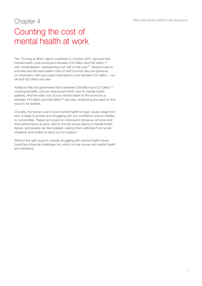### Chapter 4 Counting the cost of mental health at work

The 'Thriving at Work' report, published in October 2017, reported that mental health costs employers between £33 billion and £42 billion,(13) with 'presenteeism' representing over half of that cost.<sup>(14)</sup> Absence due to sickness and the associated costs of staff turnover also put pressure on employers, with lost output estimated to cost between £37 billion – not bill and £52 billion per year.

Added to that, the government bill is between £24 billion and £27 billion,<sup>(15)</sup> covering benefits, lost tax revenue and NHS care for mental health patients. And the total cost of poor mental health to the economy is between £74 billion and £99 billion<sup>(16)</sup> per year, underlining the need for this issue to be tackled.

Crucially, the human cost of poor mental health is huge. Issues range from lack of sleep to anxiety and struggling with low confidence and an inability to concentrate. These can impact an individual's behaviour at home and their performance at work. Add to this the social stigma of mental health issues, and people can feel isolated, making them withdraw from social situations and unable to reach out for support.

Without the right support, people struggling with mental health issues could face financial challenges too, which is how money and mental health are interlinked.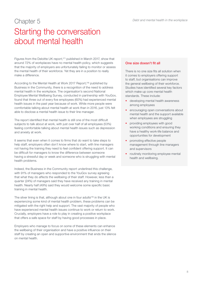### Chapter 5 Starting the conversation about mental health

Figures from the Deloitte UK report,<sup>(17)</sup> published in March 2017, show that around 72% of workplaces have no mental health policy, which suggests that the majority of employers are unfortunately failing to monitor or assess the mental health of their workforce. Yet they are in a position to really make a difference.

According to the Mental Health at Work 2017 Report,<sup>(18)</sup> published by Business in the Community, there is a recognition of the need to address mental health in the workplace. The organisation's second National Employee Mental Wellbeing Survey, conducted in partnership with YouGov, found that three out of every five employees (60%) had experienced mental health issues in the past year because of work. While more people were comfortable talking about mental health at work than in 2016, just 13% felt able to disclose a mental health issue to their line manager.

The report identified that mental health is still one of the most difficult subjects to talk about at work, with just over half of all employees (53%) feeling comfortable talking about mental health issues such as depression and anxiety at work.

It seems that even when it comes to firms that do want to take steps to help staff, employers often don't know where to start, with line managers not having the training they need to feel confident offering support. It can be difficult for managers to know the difference between someone having a stressful day or week and someone who is struggling with mental health problems.

Indeed, the Business in the Community report underlined this challenge, with 91% of managers who responded to the YouGov survey agreeing that what they do affects the wellbeing of their staff. However, less than a quarter (24%) of managers said they have received any training in mental health. Nearly half (49%) said they would welcome some specific basic training in mental health.

The silver lining is that, although about one in four adults<sup>(19)</sup> in the UK is experiencing some kind of mental health problem, these problems can be mitigated with the right help and support. The vast majority of people who have experienced mental health issues continue to work or return to work. Crucially, employers have a role to play in creating a positive workplace that offers a safe space for staff by having good processes in place.

Employers who manage to focus on some of these elements can enhance the wellbeing of their organisation and have a positive influence on their staff by creating an open and supportive environment that ends the silence on mental health.

#### One size doesn't fit all

There is no one size fits all solution when it comes to employers offering support to staff, but organisations can improve the general wellbeing of their workforce. Studies have identified several key factors which make up core mental health standards. These include:

- developing mental health awareness among employees
- encouraging open conversations about mental health and the support available when employees are struggling
- providing employees with good working conditions and ensuring they have a healthy work-life balance and opportunities for development
- promoting effective people management through line managers and supervisors
- routinely monitoring employee mental health and wellbeing.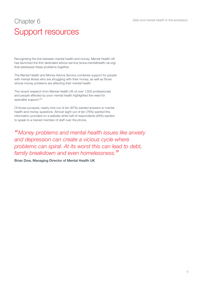# Chapter 6 Support resources

Recognising the link between mental health and money, Mental Health UK has launched the first dedicated advice service (www.mentalhealth-uk.org) that addresses these problems together.

The Mental Health and Money Advice Service combines support for people with mental illness who are struggling with their money, as well as those whose money problems are affecting their mental health.

The recent research from Mental Health UK of over 1,500 professionals and people affected by poor mental health highlighted the need for specialist support.<sup>(20)</sup>

Of those surveyed, nearly nine out of ten (87%) wanted answers to mental health and money questions. Almost eight out of ten (78%) wanted this information provided on a website while half of respondents (49%) wanted to speak to a trained member of staff over the phone.

*"Money problems and mental health issues like anxiety and depression can create a vicious cycle where problems can spiral. At its worst this can lead to debt, family breakdown and even homelessness."*

Brian Dow, Managing Director of Mental Health UK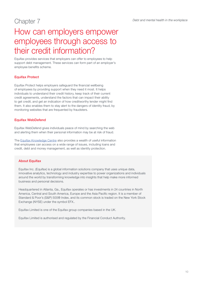### Chapter 7

### How can employers empower employees through access to their credit information?

Equifax provides services that employers can offer to employees to help support debt management. These services can form part of an employer's employee benefits scheme.

#### Equifax Protect

Equifax Protect helps employers safeguard the financial wellbeing of employees by providing support when they need it most. It helps individuals to understand their credit history, keep track of their current credit agreements, understand the factors that can impact their ability to get credit, and get an indication of how creditworthy lender might find them. It also enables them to stay alert to the dangers of identity fraud, by monitoring websites that are frequented by fraudsters.

#### Equifax WebDefend

Equifax WebDefend gives individuals peace of mind by searching the web and alerting them when their personal information may be at risk of fraud.

The Equifax Knowledge Centre also provides a wealth of useful information that employees can access on a wide range of issues, including loans and credit, debt and money management, as well as identity protection.

#### About Equifax

Equifax Inc. (Equifax) is a global information solutions company that uses unique data, innovative analytics, technology and industry expertise to power organizations and individuals around the world by transforming knowledge into insights that help make more informed business and personal decisions.

Headquartered in Atlanta, Ga., Equifax operates or has investments in 24 countries in North America, Central and South America, Europe and the Asia Pacific region. It is a member of Standard & Poor's (S&P) 500® Index, and its common stock is traded on the New York Stock Exchange (NYSE) under the symbol EFX..

Equifax Limited is one of the Equifax group companies based in the UK.

Equifax Limited is authorised and regulated by the Financial Conduct Authority.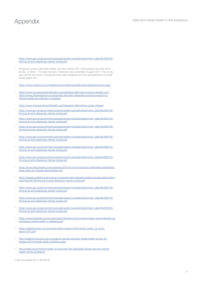- https://www.gov.uk/government/uploads/system/uploads/attachment\_data/file/658145/ thriving-at-work-stevenson-farmer-review.pdf
- 2 All figures, unless otherwise stated, are from YouGov Plc. Total sample size was 2,044 adults, of which 1,113 were workers. Fieldwork was undertaken August 2017. The survey was carried out online. The figures have been weighted and are representative of all GB adults (aged 18+).
- <sup>3</sup> https://www.rcpsych.ac.uk/healthadvice/problemsanddisorders/depressionmen.aspx
- <sup>4</sup> https://www.moneyandmentalhealth.org/integrated-debt-advice-press-release/ and https://www.citizensadvice.org.uk/joining-the-dots-integrating-practical-support-inmental-healthcare-settings-in-england/
- <sup>5</sup> https://www.moneyandmentalhealth.org/integrated-debt-advice-press-release/
- <sup>6</sup> https://www.gov.uk/government/uploads/system/uploads/attachment\_data/file/658145/ thriving-at-work-stevenson-farmer-review.pdf
- https://www.gov.uk/government/uploads/system/uploads/attachment\_data/file/658145/ thriving-at-work-stevenson-farmer-review.pdf
- 8 https://www.gov.uk/government/uploads/system/uploads/attachment\_data/file/658145/ thriving-at-work-stevenson-farmer-review.pdf
- https://www.gov.uk/government/uploads/system/uploads/attachment\_data/file/658145/ thriving-at-work-stevenson-farmer-review.pdf
- 10 https://www.gov.uk/government/uploads/system/uploads/attachment\_data/file/658145/ thriving-at-work-stevenson-farmer-review.pdf
- 11 https://www.gov.uk/government/uploads/system/uploads/attachment\_data/file/658145/ thriving-at-work-stevenson-farmer-review.pdf
- https://www.theguardian.com/business/2017/oct/10/uk-economic-estimates-significantlylower-office-for-budget-responsibility-obr
- <sup>13</sup> https://assets.publishing.service.gov.uk/government/uploads/system/uploads/attachment\_ data/file/658145/thriving-at-work-stevenson-farmer-review.pdf
- <sup>14</sup> https://www.gov.uk/government/uploads/system/uploads/attachment\_data/file/658145/ thriving-at-work-stevenson-farmer-review.pdf
- <sup>15</sup> https://www.gov.uk/government/uploads/system/uploads/attachment\_data/file/658145/ thriving-at-work-stevenson-farmer-review.pdf
- https://www.gov.uk/government/uploads/system/uploads/attachment\_data/file/658145/ thriving-at-work-stevenson-farmer-review.pdf
- <sup>17</sup> https://www2.deloitte.com/content/dam/Deloitte/uk/Documents/public-sector/deloitte-ukworkplace-mental-health-n-wellbeing.pdf
- https://wellbeing.bitc.org.uk/system/files/research/bitcmental\_health\_at\_work\_ report-2017.pdf
- http://healthsurvey.hscic.gov.uk/support-guidance/public-health/health-survey-forengland-2014/mental-health-problems.aspx
- <sup>20</sup> http://malg.org.uk/mental-health-uk-launches-first-dedicated-advice-service-mentalhealth-money-problems/

Links accessible as of 18/5/2018